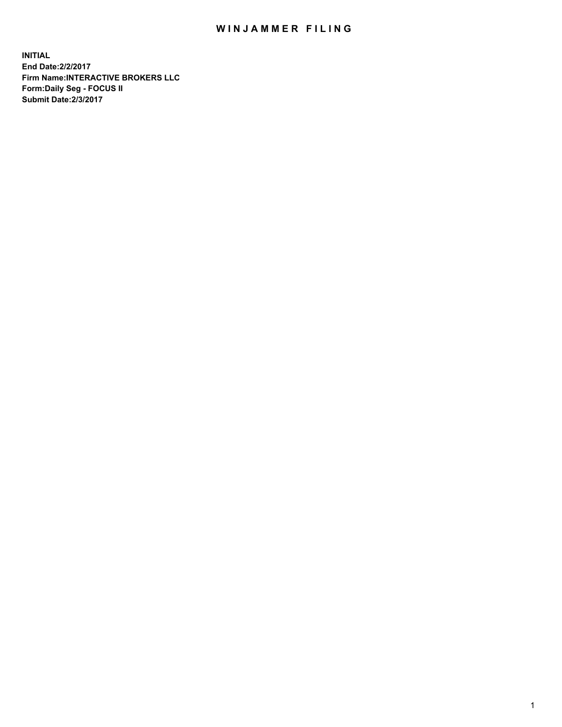## WIN JAMMER FILING

**INITIAL End Date:2/2/2017 Firm Name:INTERACTIVE BROKERS LLC Form:Daily Seg - FOCUS II Submit Date:2/3/2017**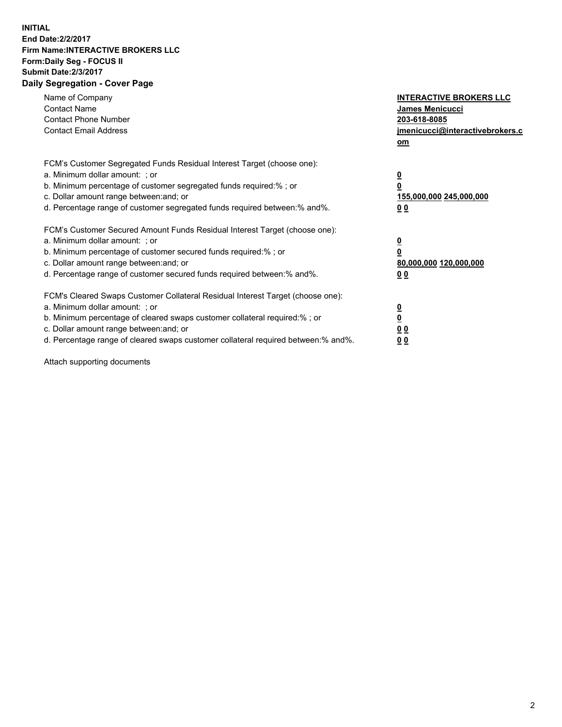## **INITIAL End Date:2/2/2017 Firm Name:INTERACTIVE BROKERS LLC Form:Daily Seg - FOCUS II Submit Date:2/3/2017 Daily Segregation - Cover Page**

| Name of Company<br><b>Contact Name</b><br><b>Contact Phone Number</b><br><b>Contact Email Address</b>                                                                                                                                                                                                                          | <b>INTERACTIVE BROKERS LLC</b><br>James Menicucci<br>203-618-8085<br>jmenicucci@interactivebrokers.c<br>om |
|--------------------------------------------------------------------------------------------------------------------------------------------------------------------------------------------------------------------------------------------------------------------------------------------------------------------------------|------------------------------------------------------------------------------------------------------------|
| FCM's Customer Segregated Funds Residual Interest Target (choose one):<br>a. Minimum dollar amount: ; or<br>b. Minimum percentage of customer segregated funds required:% ; or<br>c. Dollar amount range between: and; or<br>d. Percentage range of customer segregated funds required between:% and%.                         | $\overline{\mathbf{0}}$<br>0<br>155,000,000 245,000,000<br>0 <sub>0</sub>                                  |
| FCM's Customer Secured Amount Funds Residual Interest Target (choose one):<br>a. Minimum dollar amount: ; or<br>b. Minimum percentage of customer secured funds required:%; or<br>c. Dollar amount range between: and; or<br>d. Percentage range of customer secured funds required between: % and %.                          | $\overline{\mathbf{0}}$<br>0<br>80,000,000 120,000,000<br>0 <sub>0</sub>                                   |
| FCM's Cleared Swaps Customer Collateral Residual Interest Target (choose one):<br>a. Minimum dollar amount: ; or<br>b. Minimum percentage of cleared swaps customer collateral required:% ; or<br>c. Dollar amount range between: and; or<br>d. Percentage range of cleared swaps customer collateral required between:% and%. | $\overline{\mathbf{0}}$<br>$\overline{\mathbf{0}}$<br>0 <sub>0</sub><br>0 <sub>0</sub>                     |

Attach supporting documents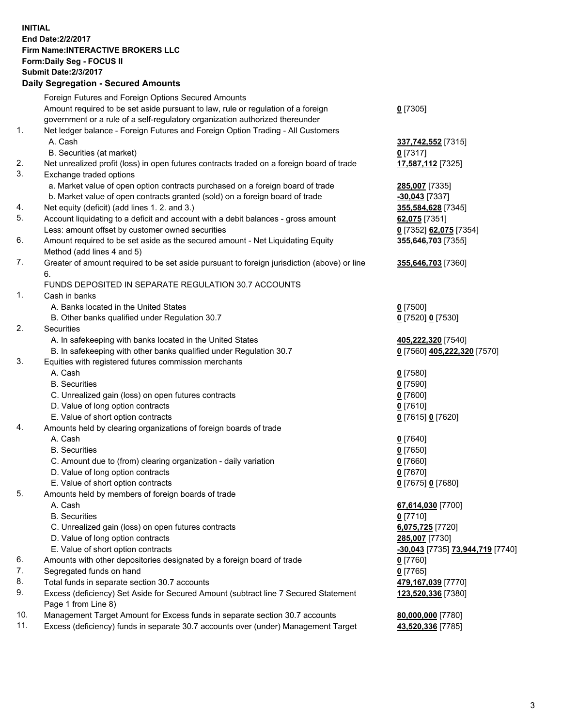**INITIAL End Date:2/2/2017 Firm Name:INTERACTIVE BROKERS LLC Form:Daily Seg - FOCUS II Submit Date:2/3/2017 Daily Segregation - Secured Amounts**

|     | Foreign Futures and Foreign Options Secured Amounts                                                        |                                  |
|-----|------------------------------------------------------------------------------------------------------------|----------------------------------|
|     | Amount required to be set aside pursuant to law, rule or regulation of a foreign                           | $0$ [7305]                       |
|     | government or a rule of a self-regulatory organization authorized thereunder                               |                                  |
| 1.  | Net ledger balance - Foreign Futures and Foreign Option Trading - All Customers                            |                                  |
|     | A. Cash                                                                                                    | 337,742,552 [7315]               |
|     | B. Securities (at market)                                                                                  | $0$ [7317]                       |
| 2.  | Net unrealized profit (loss) in open futures contracts traded on a foreign board of trade                  | 17,587,112 [7325]                |
| 3.  | Exchange traded options                                                                                    |                                  |
|     | a. Market value of open option contracts purchased on a foreign board of trade                             | 285,007 [7335]                   |
|     | b. Market value of open contracts granted (sold) on a foreign board of trade                               | $-30,043$ [7337]                 |
| 4.  | Net equity (deficit) (add lines 1.2. and 3.)                                                               | 355,584,628 [7345]               |
| 5.  | Account liquidating to a deficit and account with a debit balances - gross amount                          | 62,075 [7351]                    |
|     | Less: amount offset by customer owned securities                                                           | 0 [7352] 62,075 [7354]           |
| 6.  | Amount required to be set aside as the secured amount - Net Liquidating Equity                             | 355,646,703 [7355]               |
|     | Method (add lines 4 and 5)                                                                                 |                                  |
| 7.  | Greater of amount required to be set aside pursuant to foreign jurisdiction (above) or line                | 355,646,703 [7360]               |
|     | 6.                                                                                                         |                                  |
|     | FUNDS DEPOSITED IN SEPARATE REGULATION 30.7 ACCOUNTS                                                       |                                  |
| 1.  | Cash in banks                                                                                              |                                  |
|     | A. Banks located in the United States                                                                      | $0$ [7500]                       |
|     | B. Other banks qualified under Regulation 30.7                                                             | 0 [7520] 0 [7530]                |
| 2.  | Securities                                                                                                 |                                  |
|     | A. In safekeeping with banks located in the United States                                                  | 405,222,320 [7540]               |
|     | B. In safekeeping with other banks qualified under Regulation 30.7                                         | 0 [7560] 405,222,320 [7570]      |
| 3.  | Equities with registered futures commission merchants                                                      |                                  |
|     | A. Cash                                                                                                    | $0$ [7580]                       |
|     | <b>B.</b> Securities                                                                                       | $0$ [7590]                       |
|     | C. Unrealized gain (loss) on open futures contracts                                                        | $0$ [7600]                       |
|     | D. Value of long option contracts                                                                          | $0$ [7610]                       |
|     | E. Value of short option contracts                                                                         | 0 [7615] 0 [7620]                |
| 4.  | Amounts held by clearing organizations of foreign boards of trade                                          |                                  |
|     | A. Cash                                                                                                    | $0$ [7640]                       |
|     | <b>B.</b> Securities                                                                                       | $0$ [7650]                       |
|     | C. Amount due to (from) clearing organization - daily variation                                            | $0$ [7660]                       |
|     | D. Value of long option contracts                                                                          | $0$ [7670]                       |
| 5.  | E. Value of short option contracts                                                                         | 0 [7675] 0 [7680]                |
|     | Amounts held by members of foreign boards of trade                                                         |                                  |
|     | A. Cash                                                                                                    | 67,614,030 [7700]                |
|     | <b>B.</b> Securities                                                                                       | $0$ [7710]                       |
|     | C. Unrealized gain (loss) on open futures contracts                                                        | 6,075,725 [7720]                 |
|     | D. Value of long option contracts<br>E. Value of short option contracts                                    | 285,007 [7730]                   |
| 6.  |                                                                                                            | -30,043 [7735] 73,944,719 [7740] |
| 7.  | Amounts with other depositories designated by a foreign board of trade<br>Segregated funds on hand         | $0$ [7760]                       |
| 8.  | Total funds in separate section 30.7 accounts                                                              | $0$ [7765]                       |
| 9.  |                                                                                                            | 479,167,039 [7770]               |
|     | Excess (deficiency) Set Aside for Secured Amount (subtract line 7 Secured Statement<br>Page 1 from Line 8) | 123,520,336 [7380]               |
| 10. | Management Target Amount for Excess funds in separate section 30.7 accounts                                | 80,000,000 [7780]                |
| 11. | Excess (deficiency) funds in separate 30.7 accounts over (under) Management Target                         | 43,520,336 [7785]                |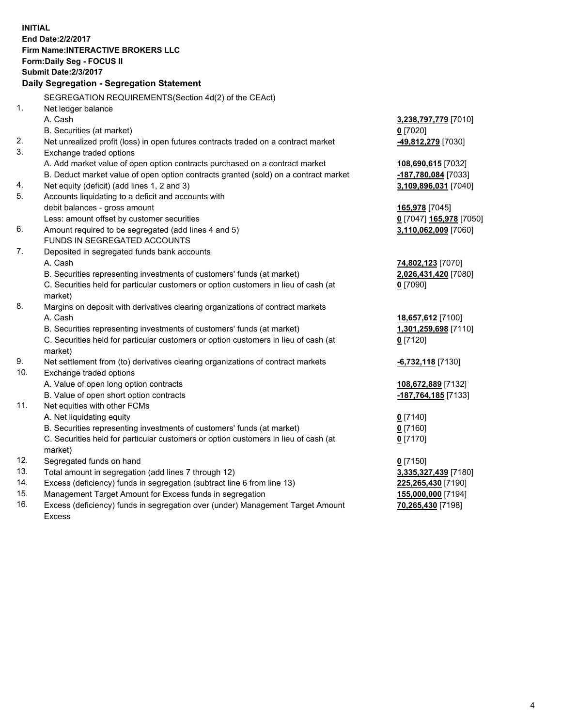**INITIAL End Date:2/2/2017 Firm Name:INTERACTIVE BROKERS LLC Form:Daily Seg - FOCUS II Submit Date:2/3/2017 Daily Segregation - Segregation Statement** SEGREGATION REQUIREMENTS(Section 4d(2) of the CEAct) 1. Net ledger balance A. Cash **3,238,797,779** [7010] B. Securities (at market) **0** [7020] 2. Net unrealized profit (loss) in open futures contracts traded on a contract market **-49,812,279** [7030] 3. Exchange traded options A. Add market value of open option contracts purchased on a contract market **108,690,615** [7032] B. Deduct market value of open option contracts granted (sold) on a contract market **-187,780,084** [7033] 4. Net equity (deficit) (add lines 1, 2 and 3) **3,109,896,031** [7040] 5. Accounts liquidating to a deficit and accounts with debit balances - gross amount **165,978** [7045] Less: amount offset by customer securities **0** [7047] **165,978** [7050] 6. Amount required to be segregated (add lines 4 and 5) **3,110,062,009** [7060] FUNDS IN SEGREGATED ACCOUNTS 7. Deposited in segregated funds bank accounts A. Cash **74,802,123** [7070] B. Securities representing investments of customers' funds (at market) **2,026,431,420** [7080] C. Securities held for particular customers or option customers in lieu of cash (at market) **0** [7090] 8. Margins on deposit with derivatives clearing organizations of contract markets A. Cash **18,657,612** [7100] B. Securities representing investments of customers' funds (at market) **1,301,259,698** [7110] C. Securities held for particular customers or option customers in lieu of cash (at market) **0** [7120] 9. Net settlement from (to) derivatives clearing organizations of contract markets **-6,732,118** [7130] 10. Exchange traded options A. Value of open long option contracts **108,672,889** [7132] B. Value of open short option contracts **-187,764,185** [7133] 11. Net equities with other FCMs A. Net liquidating equity **0** [7140] B. Securities representing investments of customers' funds (at market) **0** [7160] C. Securities held for particular customers or option customers in lieu of cash (at market) **0** [7170] 12. Segregated funds on hand **0** [7150] 13. Total amount in segregation (add lines 7 through 12) **3,335,327,439** [7180] 14. Excess (deficiency) funds in segregation (subtract line 6 from line 13) **225,265,430** [7190] 15. Management Target Amount for Excess funds in segregation **155,000,000** [7194]

16. Excess (deficiency) funds in segregation over (under) Management Target Amount Excess

**70,265,430** [7198]